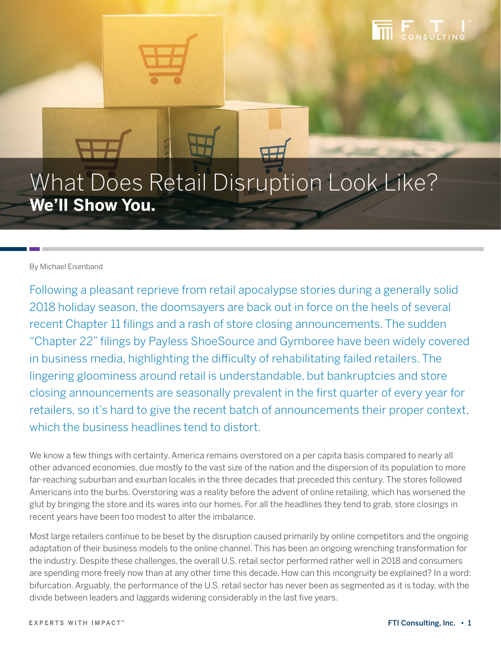# What Does Retail Disruption Look Like? **We'll Show You.**

#### By Michael Eisenband

Following a pleasant reprieve from retail apocalypse stories during a generally solid 2018 holiday season, the doomsayers are back out in force on the heels of several recent Chapter 11 filings and a rash of store closing announcements. The sudden "Chapter 22" filings by Payless ShoeSource and Gymboree have been widely covered in business media, highlighting the difficulty of rehabilitating failed retailers. The lingering gloominess around retail is understandable, but bankruptcies and store closing announcements are seasonally prevalent in the first quarter of every year for retailers, so it's hard to give the recent batch of announcements their proper context, which the business headlines tend to distort.

We know a few things with certainty. America remains overstored on a per capita basis compared to nearly all other advanced economies, due mostly to the vast size of the nation and the dispersion of its population to more far-reaching suburban and exurban locales in the three decades that preceded this century. The stores followed Americans into the burbs. Overstoring was a reality before the advent of online retailing, which has worsened the glut by bringing the store and its wares into our homes. For all the headlines they tend to grab, store closings in recent years have been too modest to alter the imbalance.

Most large retailers continue to be beset by the disruption caused primarily by online competitors and the ongoing adaptation of their business models to the online channel. This has been an ongoing wrenching transformation for the industry. Despite these challenges, the overall U.S. retail sector performed rather well in 2018 and consumers are spending more freely now than at any other time this decade. How can this incongruity be explained? In a word: bifurcation. Arguably, the performance of the U.S. retail sector has never been as segmented as it is today, with the divide between leaders and laggards widening considerably in the last five years.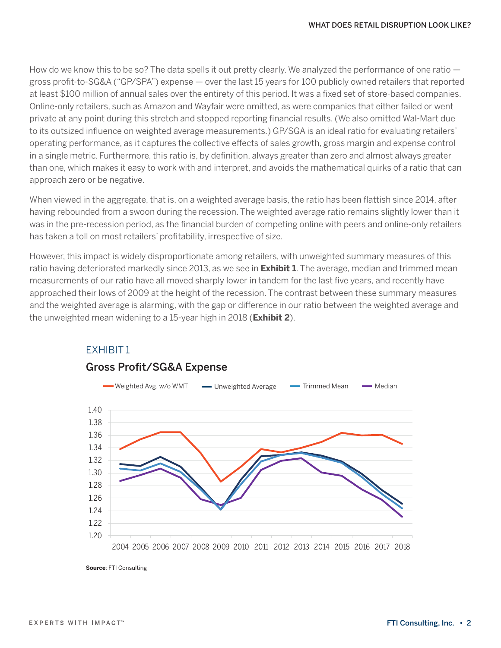How do we know this to be so? The data spells it out pretty clearly. We analyzed the performance of one ratio  $$ gross profit-to-SG&A ("GP/SPA") expense — over the last 15 years for 100 publicly owned retailers that reported at least \$100 million of annual sales over the entirety of this period. It was a fixed set of store-based companies. Online-only retailers, such as Amazon and Wayfair were omitted, as were companies that either failed or went private at any point during this stretch and stopped reporting financial results. (We also omitted Wal-Mart due to its outsized influence on weighted average measurements.) GP/SGA is an ideal ratio for evaluating retailers' operating performance, as it captures the collective effects of sales growth, gross margin and expense control in a single metric. Furthermore, this ratio is, by definition, always greater than zero and almost always greater than one, which makes it easy to work with and interpret, and avoids the mathematical quirks of a ratio that can approach zero or be negative.

When viewed in the aggregate, that is, on a weighted average basis, the ratio has been flattish since 2014, after having rebounded from a swoon during the recession. The weighted average ratio remains slightly lower than it was in the pre-recession period, as the financial burden of competing online with peers and online-only retailers has taken a toll on most retailers' profitability, irrespective of size.

However, this impact is widely disproportionate among retailers, with unweighted summary measures of this ratio having deteriorated markedly since 2013, as we see in **Exhibit 1**. The average, median and trimmed mean measurements of our ratio have all moved sharply lower in tandem for the last five years, and recently have approached their lows of 2009 at the height of the recession. The contrast between these summary measures and the weighted average is alarming, with the gap or difference in our ratio between the weighted average and the unweighted mean widening to a 15-year high in 2018 (**Exhibit 2**).



## EXHIBIT 1

**Source**: FTI Consulting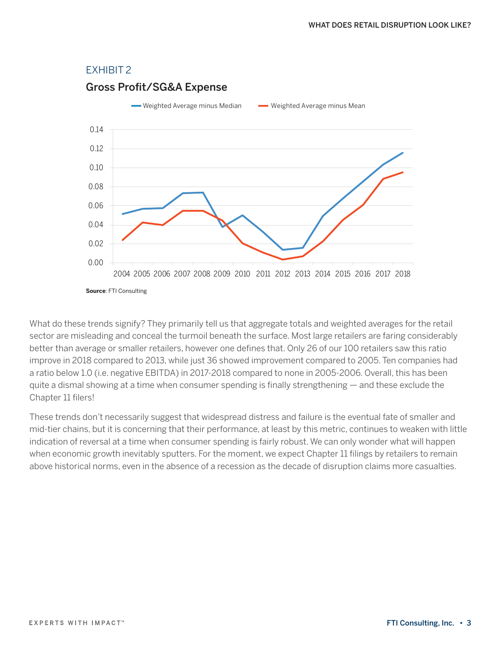#### EXHIBIT 2

### 0.00 0.02 0.04 0.06 0.08 0.10 0.12 0.14 2004 2005 2006 2007 2008 2009 2010 2011 2012 2013 2014 2015 2016 2017 2018 **Source**: FTI Consulting Gross Profit/SG&A Expense Weighted Average minus Median Weighted Average minus Mean

What do these trends signify? They primarily tell us that aggregate totals and weighted averages for the retail sector are misleading and conceal the turmoil beneath the surface. Most large retailers are faring considerably better than average or smaller retailers, however one defines that. Only 26 of our 100 retailers saw this ratio improve in 2018 compared to 2013, while just 36 showed improvement compared to 2005. Ten companies had a ratio below 1.0 (i.e. negative EBITDA) in 2017-2018 compared to none in 2005-2006. Overall, this has been quite a dismal showing at a time when consumer spending is finally strengthening — and these exclude the Chapter 11 filers!

These trends don't necessarily suggest that widespread distress and failure is the eventual fate of smaller and mid-tier chains, but it is concerning that their performance, at least by this metric, continues to weaken with little indication of reversal at a time when consumer spending is fairly robust. We can only wonder what will happen when economic growth inevitably sputters. For the moment, we expect Chapter 11 filings by retailers to remain above historical norms, even in the absence of a recession as the decade of disruption claims more casualties.